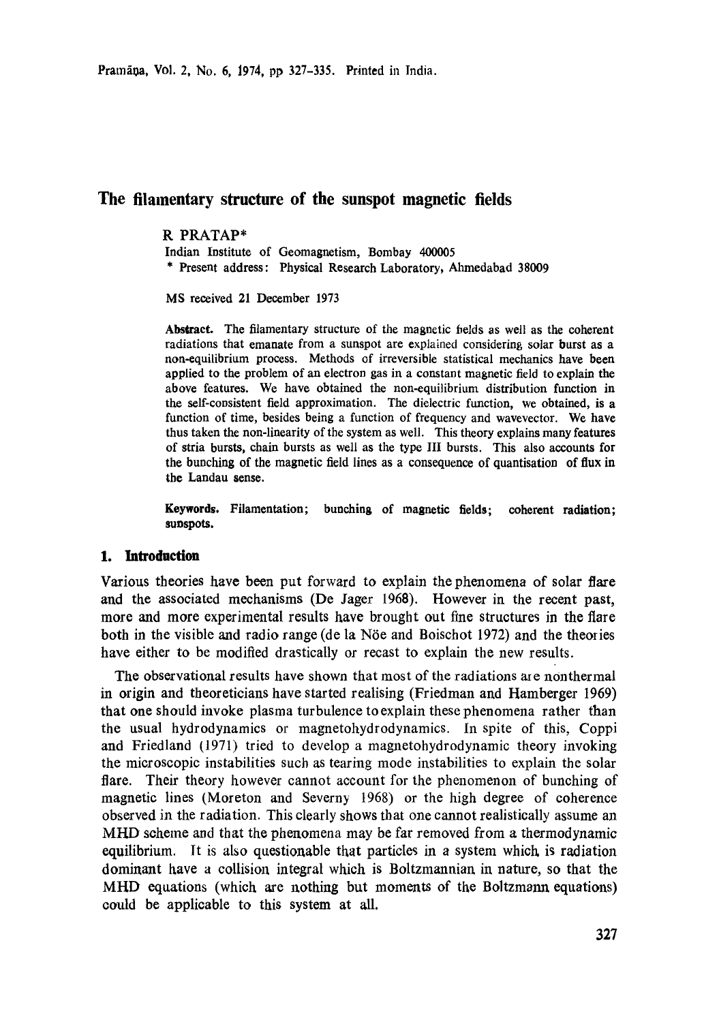Pramāņa, Vol. 2, No. 6, 1974, pp 327-335. Printed in India.

# **The filamentary structure of the sunspot magnetic fields**

## R PRATAP\*

Indian Institute of Geomagnetism, Bombay 400005

\* Present address: Physical Research Laboratory, Ahmedabad 38009

MS received 21 December 1973

Abstract. The filamentary structure of the magnetic fields as well as the coherent radiations that emanate from a sunspot are explained considering solar burst as a non-equilibrium process. Methods of irreversible statistical mechanics have been applied to the problem of an electron gas in a constant magnetic field to explain the above features. We have obtained the non-equilibrium distribution function in the self-consistent field approximation. The dielectric function, we obtained, is a function of time, besides being a function of frequency and wavevector. We have thus taken the non-linearity of the system as well. This theory explains many features of stria bursts, chain bursts as well as the type llI bursts. This also accounts **for**  the bunching of the magnetic field lines as a consequence of quantisation of flux **in**  the Landau sense.

**Keywords. Filamentation; bunching of magnetic fields; coherent radiation; sunspots.** 

## **1. Introduction**

Various theories have been put forward to explain the phenomena of solar flare and the associated mechanisms (De Jager 1968). However in the recent past, more and more experimental results have brought out fine structures in the flare both in the visible and radio range (de la Nöe and Boischot 1972) and the theories have either to be modified drastically or recast to explain the new results.

The observational results have shown that most of the radiations are nonthermal in origin and theoretieians have started realising (Friedman and Hamberger 1969) that one should invoke plasma turbulence to explain these phenomena rather than the usual hydrodynamics or magnetohydrodynamics. In spite of this, Coppi and Friedland (1971) tried to develop a magnetohydrodynamic theory invoking the microscopic instabilities such as tearing mode instabilities to explain the solar flare. Their theory however cannot account for the phenomenon of bunching of magnetic lines (Moreton and Severny 1968) or the high degree of coherence observed in the radiation. This clearly shows that one cannot realistically assume an MIlD scheme and that the phenomena may be far removed from a thermodynamic equilibrium. It is also questionable that particles in a system which, is radiation dominant have a coUision integral which is Boltzmannian in nature, so that the MHD equations (which are nothing but moments of the Boltzmann equations) could be applicable to this system at all.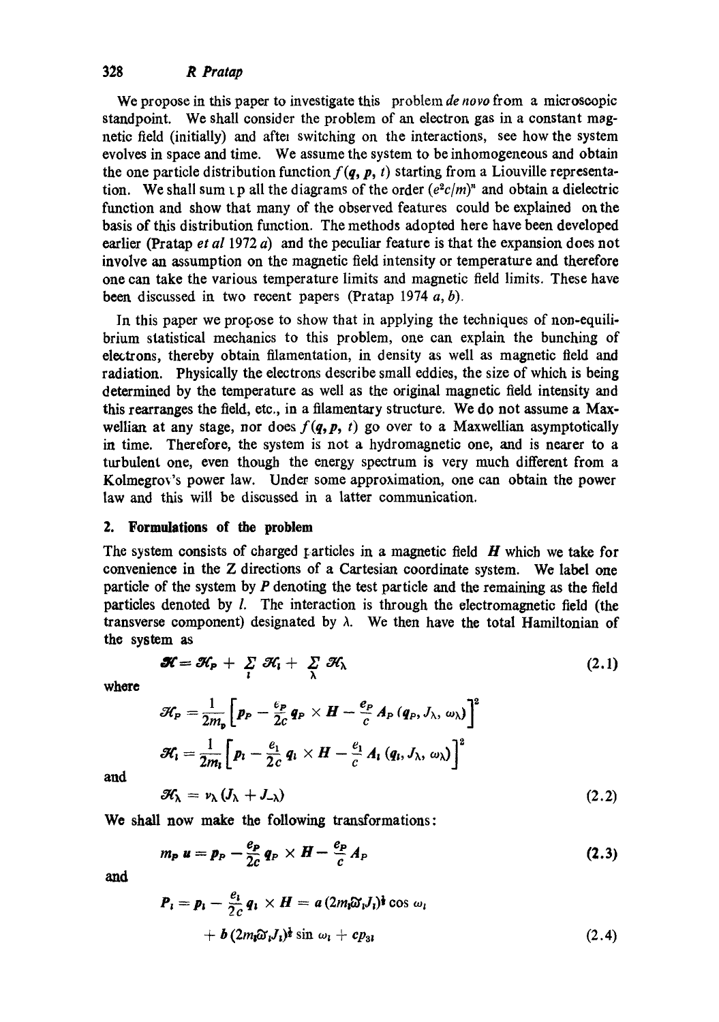# 328 *R Pratap*

We propose in this paper to investigate this problem *de nero* from a microscopic standpoint. We shall consider the problem of an electron gas in a constant magnetic field (initially) and aftel switching on the interactions, see how the system evolves in space and time. We assume the system to be inhomogeneous and obtain the one particle distribution function  $f(q, p, t)$  starting from a Liouville representation. We shall sum  $\iota$  p all the diagrams of the order  $(e^2c/m)^n$  and obtain a dielectric function and show that many of the observed features could be explained on the basis of this distribution function. The methods adopted here have been developed earlier (Pratap *et al* 1972 a) and the peculiar feature is that the expansion does not involve an assumption on the magnetic field intensity or temperature and therefore one can take the various temperature limits and magnetic field limits. These have been discussed in two recent papers (Pratap 1974  $a, b$ ).

In this paper we propose to show that in applying the techniques of non-equilibrium statistical mechanics to this problem, one can explain the bunching of electrons, thereby obtain filamentation, in density as well as magnetic field and radiation. Physically the electrons describe small eddies, the size of which is being determined by the temperature as well as the original magnetic field intensity and this rearranges the field, etc., in a filamentary structure. We do not assume a Maxwellian at any stage, nor does  $f(q, p, t)$  go over to a Maxwellian asymptotically in time. Therefore, the system is not a hydromagnetic one, and is nearer to a turbulent one, even though the energy spectrum is very much different from a Kolmegrov's power law. Under some approximation, one can obtain the power law and this will be discussed in a latter communication.

### 2. Formulations of **the problem**

The system consists of charged particles in a magnetic field  $H$  which we take for convenience in the Z directions of a Cartesian coordinate system. We label one particle of the system by  $P$  denoting the test particle and the remaining as the field particles denoted by l. The interaction is through the electromagnetic field (the transverse component) designated by  $\lambda$ . We then have the total Hamiltonian of the system as

$$
\mathcal{H} = \mathcal{H}_{\mathsf{P}} + \sum_{i} \mathcal{H}_{i} + \sum_{\lambda} \mathcal{H}_{\lambda} \qquad (2.1)
$$

where

$$
\mathcal{H}_{P} = \frac{1}{2m_{p}}\left[p_{P} - \frac{e_{P}}{2c}q_{P}\times H - \frac{e_{P}}{c}A_{P}(q_{P},J_{\lambda},\omega_{\lambda})\right]^{2}
$$

$$
\mathcal{H}_{i} = \frac{1}{2m_{i}}\left[p_{i} - \frac{e_{1}}{2c}q_{i}\times H - \frac{e_{1}}{c}A_{i}(q_{i},J_{\lambda},\omega_{\lambda})\right]^{2}
$$

and

$$
\mathcal{H}_{\lambda} = \nu_{\lambda} \left( J_{\lambda} + J_{-\lambda} \right) \tag{2.2}
$$

We shall now make the following transformations:

$$
m_P u = p_P - \frac{e_P}{2c} q_P \times H - \frac{e_P}{c} A_P
$$
 (2.3)

**and** 

$$
P_i = p_i - \frac{e_i}{2c} q_i \times H = a (2m_i \tilde{\omega}_i J_i)^{\frac{1}{2}} \cos \omega_i
$$
  
+ b (2m\_i \tilde{\omega}\_i J\_i)^{\frac{1}{2}} \sin \omega\_i + cp\_{31} \qquad (2.4)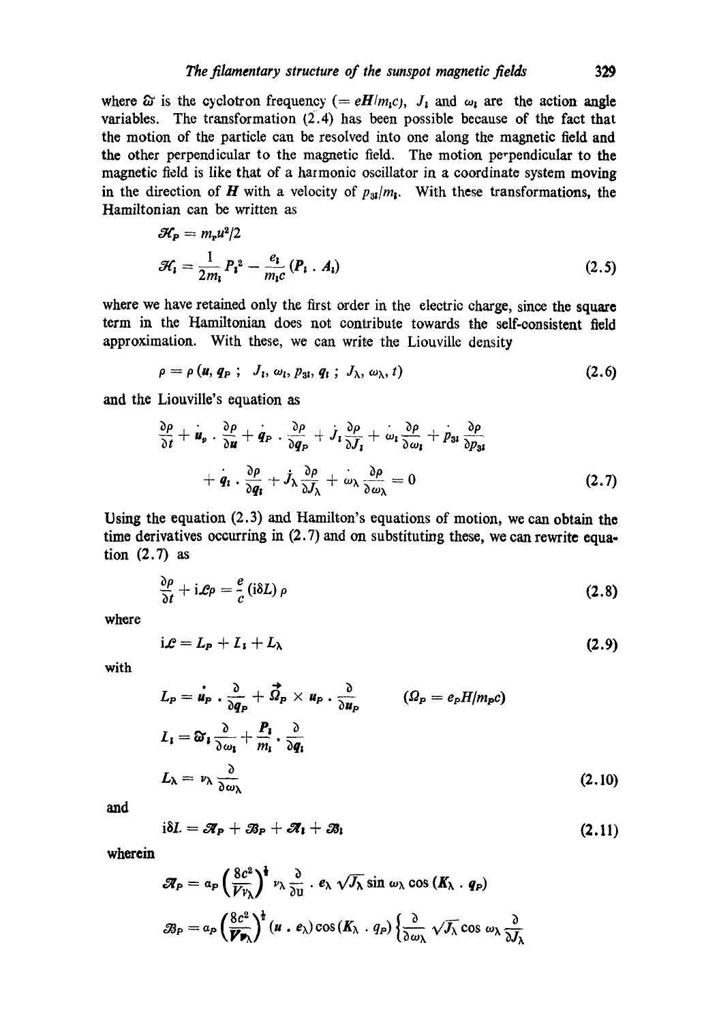where  $\hat{\omega}$  is the cyclotron frequency (= *eH/m<sub>1</sub>c)*,  $J_1$  and  $\omega_1$  are the action angle variables. The transformation  $(2.4)$  has been possible because of the fact that the motion of the particle can be resolved into one along the magnetic field and the other perpendicular to the magnetic field. The motion perpendicular to the magnetic field is like that of a harmonic oscillator in a coordinate system moving in the direction of H with a velocity of  $p_{31}/m_1$ . With these transformations, the Hamiltonian can be written as

$$
\mathcal{H}_{\mathbf{P}} = m_{\mathbf{r}} u^2 / 2
$$
  

$$
\mathcal{H}_{\mathbf{i}} = \frac{1}{2m_{\mathbf{i}}} P_{\mathbf{i}}^2 - \frac{e_{\mathbf{i}}}{m_{\mathbf{i}} c} (P_{\mathbf{i}} \cdot A_{\mathbf{i}})
$$
(2.5)

where we have retained only the first order in the electric charge, since the square term in the Hamiltonian does not contribute towards the self-consistent field approximation. With these, we can write the Liouville density

$$
\rho = \rho \left( \boldsymbol{u}, \boldsymbol{q}_{\mathrm{P}} \right); \quad J_{\mathrm{I}}, \, \omega_{\mathrm{I}}, \, p_{3\mathrm{I}}, \, \boldsymbol{q}_{\mathrm{I}} \, ; \, J_{\lambda}, \, \omega_{\lambda}, \, t \right) \tag{2.6}
$$

and the Liouville's equation as

$$
\frac{\partial \rho}{\partial t} + \dot{u}_{p} \cdot \frac{\partial \rho}{\partial u} + q_{P} \cdot \frac{\partial \rho}{\partial q_{P}} + \dot{J}_{1} \frac{\partial \rho}{\partial J_{1}} + \dot{\omega}_{1} \frac{\partial \rho}{\partial \omega_{1}} + \dot{p}_{31} \frac{\partial \rho}{\partial p_{31}} + \dot{q}_{1} \cdot \frac{\partial \rho}{\partial q_{1}} + \dot{J}_{\lambda} \frac{\partial \rho}{\partial J_{\lambda}} + \dot{\omega}_{\lambda} \frac{\partial \rho}{\partial \omega_{\lambda}} = 0
$$
\n(2.7)

Using the equation (2.3) and Hamilton's equations of motion, we can obtain the time derivatives occurring in  $(2.7)$  and on substituting these, we can rewrite equation (2.7) as

$$
\frac{\partial \rho}{\partial t} + i\mathcal{L}\rho = \frac{e}{c} (i\delta L) \rho \qquad (2.8)
$$

where

$$
i\mathcal{L}=L_{P}+L_{1}+L_{\lambda}
$$
\n(2.9)

with

$$
L_{P} = \dot{u}_{P} \cdot \frac{\partial}{\partial q_{P}} + \vec{\Omega}_{P} \times u_{P} \cdot \frac{\partial}{\partial u_{P}} \qquad ( \Omega_{P} = e_{P} H / m_{P} c )
$$
  
\n
$$
L_{1} = \partial_{1} \frac{\partial}{\partial \omega_{1}} + \frac{P_{1}}{m_{1}} \cdot \frac{\partial}{\partial q_{1}}
$$
  
\n
$$
L_{\lambda} = v_{\lambda} \frac{\partial}{\partial \omega_{\lambda}}
$$
\n(2.10)

**and** 

$$
i\delta L = \mathcal{A}_P + \mathcal{B}_P + \mathcal{A}_1 + \mathcal{B}_1 \qquad (2.11)
$$

wherein

$$
\mathscr{F}_{P} = a_{P} \left( \frac{8c^{2}}{V v_{\lambda}} \right)^{\frac{1}{2}} v_{\lambda} \frac{\partial}{\partial u} \cdot e_{\lambda} \sqrt{J_{\lambda}} \sin \omega_{\lambda} \cos (K_{\lambda} \cdot q_{P})
$$
  

$$
\mathscr{B}_{P} = a_{P} \left( \frac{8c^{2}}{V v_{\lambda}} \right)^{\frac{1}{2}} (u \cdot e_{\lambda}) \cos (K_{\lambda} \cdot q_{P}) \left\{ \frac{\partial}{\partial \omega_{\lambda}} \sqrt{J_{\lambda}} \cos \omega_{\lambda} \frac{\partial}{\partial J_{\lambda}} \right\}
$$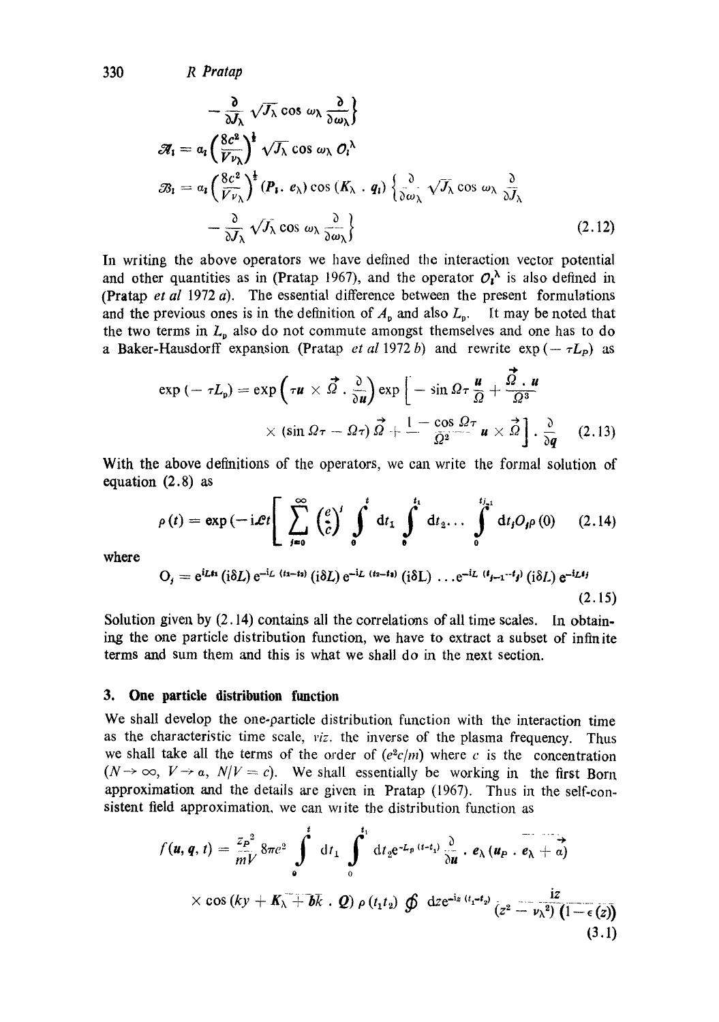330 *R Pratap* 

$$
-\frac{\partial}{\partial J_{\lambda}}\sqrt{J_{\lambda}}\cos\omega_{\lambda}\frac{\partial}{\partial\omega_{\lambda}}\}
$$
  
\n
$$
\mathscr{R}_{1} = a_{i}\left(\frac{8c^{2}}{V_{\nu_{\lambda}}}\right)^{\frac{1}{2}}\sqrt{J_{\lambda}}\cos\omega_{\lambda}\mathcal{O}_{i}^{\lambda}
$$
  
\n
$$
\mathscr{B}_{1} = a_{i}\left(\frac{8c^{2}}{V_{\nu_{\lambda}}}\right)^{\frac{1}{2}}\left(P_{i}, e_{\lambda}\right)\cos\left(K_{\lambda} \cdot q_{i}\right)\left\{\frac{\partial}{\partial\omega_{\lambda}}\sqrt{J_{\lambda}}\cos\omega_{\lambda}\frac{\partial}{\partial J_{\lambda}}\right\}
$$
  
\n
$$
-\frac{\partial}{\partial J_{\lambda}}\sqrt{J_{\lambda}}\cos\omega_{\lambda}\frac{\partial}{\partial\omega_{\lambda}}\right\}
$$
\n(2.12)

In writing the above operators we have defined the interaction vector potential and other quantities as in (Pratap 1967), and the operator  $O_i^{\lambda}$  is also defined in (Pratap *et al* 1972 a). The essential difference between the present formulations and the previous ones is in the definition of  $A_p$  and also  $L_p$ . It may be noted that the two terms in  $L_p$  also do not commute amongst themselves and one has to do a Baker-Hausdorff expansion (Pratap *et al* 1972 b) and rewrite  $\exp(-\tau L_p)$  as

$$
\exp\left(-\tau L_{\rm p}\right)=\exp\left(\tau u\times\vec{\Omega}\cdot\frac{\partial}{\partial u}\right)\exp\left[-\sin\Omega\tau\frac{u}{\Omega}+\frac{\vec{\Omega}\cdot u}{\Omega^3}\right] \times \left(\sin\Omega\tau-\Omega\tau\right)\vec{\Omega}+\frac{1-\cos\Omega\tau}{\Omega^2}u\times\vec{\Omega}\right]\cdot\frac{\partial}{\partial q} \quad (2.13)
$$

With the above definitions of the operators, we can write the formal solution of equation (2.8) as

$$
\rho(t) = \exp(-i\mathcal{L}t) \left[ \sum_{j=0}^{\infty} {e \choose c}^{j} \int_{0}^{t} dt_1 \int_{0}^{t_1} dt_2 \dots \int_{0}^{t_{j-1}} dt_j O_j \rho(0) \right] \quad (2.14)
$$
  

$$
O_t = e^{i\mathcal{L}t_1} (i\delta t) e^{-i\mathcal{L} (t_2 - t_2)} (i\delta t) e^{-i\mathcal{L} (t_2 - t_3)} (i\delta t) e^{-i\mathcal{L} (t_{j-1} - t_j)} (i\delta t) e^{-i\mathcal{L} t_j}
$$

where

$$
O_j = e^{i\mathcal{L} \mathbf{t} \mathbf{t}} (i\delta L) e^{-i\mathcal{L} (t_1 - t_2)} (i\delta L) e^{-i\mathcal{L} (t_2 - t_2)} (i\delta L) \dots e^{-i\mathcal{L} (t_{j-1} - t_j)} (i\delta L) e^{-i\mathcal{L} t_j}
$$
\n(2.15)

Solution given by  $(2.14)$  contains all the correlations of all time scales. In obtaining the one particle distribution function, we have to extract a subset of infinite terms and sum them and this is what we shall do in the next seotion.

#### **3. One particle distribution function**

We shall develop the one-particle distribution function with the interaction time as the characteristic time scale, *viz.* the inverse of the plasma frequency. Thus we shall take all the terms of the order of  $(e^2c/m)$  where c is the concentration  $(N \rightarrow \infty, V \rightarrow \alpha, N/V = c)$ . We shall essentially be working in the first Born approximation and the details are given in Pratap (1967). Thus in the self-consistent field approximation, we can write the distribution function as

$$
f(\mathbf{u}, \mathbf{q}, t) = \frac{z_{P}^{2}}{mV} 8\pi c^{2} \int_{0}^{t} dt_{1} \int_{0}^{t_{1}} dt_{2} e^{-L_{p}(t-t_{1})} \frac{\partial}{\partial \mathbf{u}} \cdot e_{\lambda} (\mathbf{u}_{P} \cdot \mathbf{e}_{\lambda} + \alpha)
$$
  
× cos (ky +  $K_{\lambda}$  +  $\overline{b}k$  ·  $Q$ )  $\rho(t_{1}t_{2}) \oint dx e^{-iz (t_{1} - t_{2})} (z^{2} - \nu_{\lambda}^{2}) (1 - \epsilon(z))$  (3.1)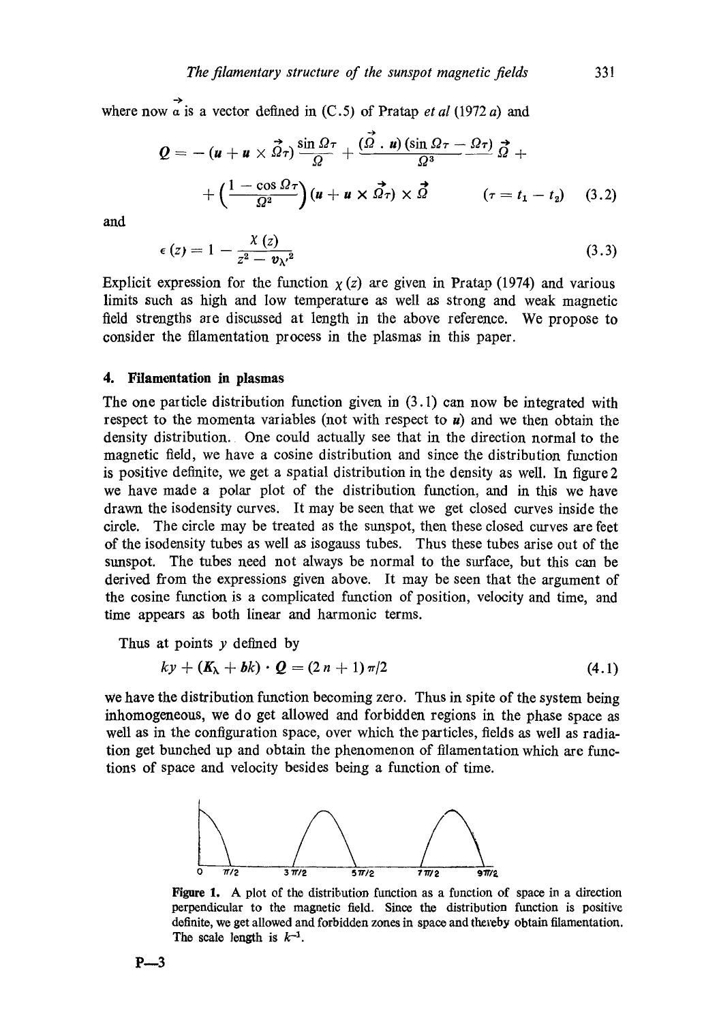where now  $\alpha$  is a vector defined in (C.5) of Pratap *et al* (1972 a) and

$$
Q = - (u + u \times \vec{\Omega}_{\tau}) \frac{\sin \Omega_{\tau}}{\Omega} + \frac{(\vec{\Omega} \cdot u) (\sin \Omega_{\tau} - \Omega_{\tau})}{\Omega^{3}} \vec{\Omega} + + \left( \frac{1 - \cos \Omega_{\tau}}{\Omega^{2}} \right) (u + u \times \vec{\Omega}_{\tau}) \times \vec{\Omega} \qquad (\tau = t_{1} - t_{2}) \quad (3.2)
$$

and

$$
\epsilon(z) = 1 - \frac{\chi(z)}{z^2 - v_{\lambda'}^2} \tag{3.3}
$$

Explicit expression for the function  $\chi(z)$  are given in Pratap (1974) and various limits such as high and low temperature as well as strong and weak magnetic field strengths are discussed at Iength in the above reference. We propose to consider the filamentation process in the plasmas in this paper.

### **4. Filamentation in plasmas**

The one particle distribution function given in (3.1) can now be integrated with respect to the momenta variables (not with respect to  $\mathbf{u}$ ) and we then obtain the density distribution. One could actually see that in the direction normal to the magnetic field, we have a cosine distribution and since the distribution function is positive definite, we get a spatial distribution in the density as well. In figure 2 we have made a polar plot of the distribution function, and in this we have drawn the isodensity curves. It may be seen that we get closed curves inside the circle. The circle may be treated as the sunspot, then these dosed curves are feet of the isodensity tubes as well as isoganss tubes. Thus these tubes arise out of the sunspot. The tubes need not always be normal to the surface, but this can be derived from the expressions given above. It may be seen that the argument of the cosine function is a complicated function of position, velocity and time, and time appears as both linear and harmonic terms.

Thus at points  $y$  defined by

$$
ky + (K_{\lambda} + bk) \cdot Q = (2 n + 1) \pi/2 \qquad (4.1)
$$

We have the distribution function becoming zero. Thus in spite of the system being inhomogeneous, we do get allowed and forbidden regions in the phase space as well as in the configuration space, over which the particles, fields as well as radiation get bunched up and obtain the phenomenon of filamentation which are functions of space and velocity besides being a function of time.



Figure 1. A plot of the distribution function as a function of space in a direction perpendicular to the magnetic field. Since the distribution function is positive definite, we get allowed and forbidden zones in space and thereby obtain filamentation. The scale length is  $k^{-1}$ .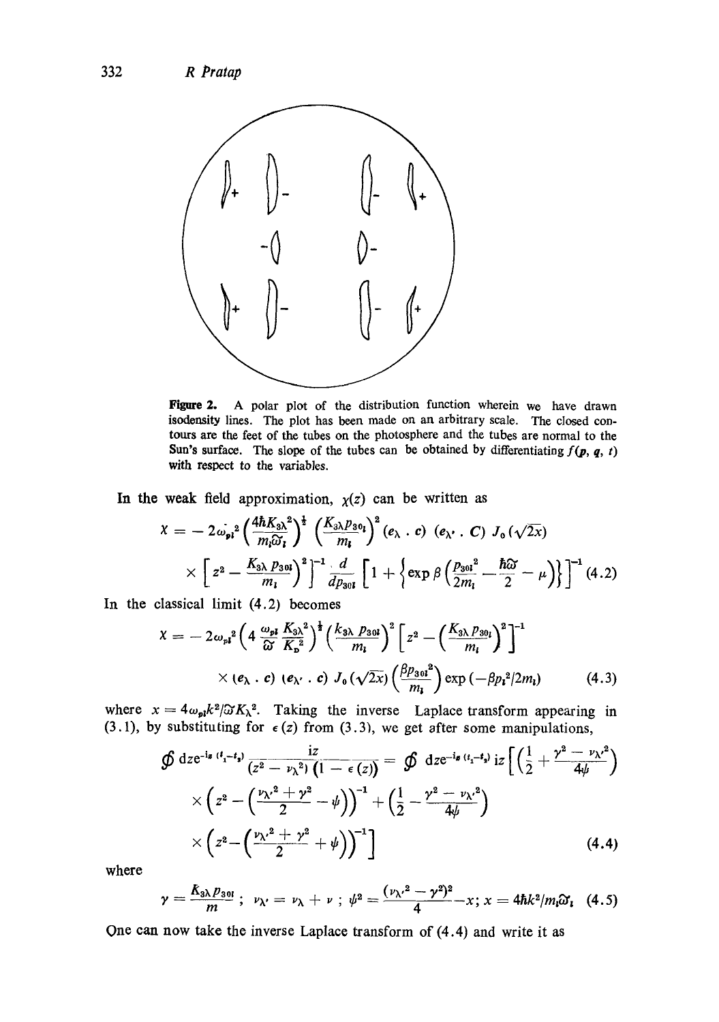

Figure 2. A polar plot of the distribution function wherein we have drawn isodonsity lines. The plot has been made on an arbitrary scale. The closed contours are the feet of the tubes on the photosphere and the tubes are normal to the Sun's surface. The slope of the tubes can be obtained by differentiating  $f(p, q, t)$ with respect to the variables.

In the weak field approximation,  $\chi(z)$  can be written as

$$
\chi = -2\omega_{pl}^2 \left(\frac{4\hbar K_{3\lambda}^2}{m_i\widetilde{\omega}_l}\right)^{\frac{1}{2}} \left(\frac{K_{3\lambda}p_{30}}{m_l}\right)^2 (e_{\lambda} \cdot c) (e_{\lambda'} \cdot C) J_0(\sqrt{2x})
$$
  
 
$$
\times \left[z^2 - \frac{K_{3\lambda}p_{30l}}{m_l}\right]^2 \left[\frac{1}{dp_{30l}} \left[1 + \left\{\exp\beta \left(\frac{p_{30l}^2}{2m_l} - \frac{\hbar \widetilde{\omega}}{2} - \mu\right)\right\}\right]^{-1} (4.2)
$$

In the classical limit (4.2) becomes

$$
\chi = -2\omega_{pl}^2 \left(4 \frac{\omega_{pl}}{\omega} \frac{K_{3\lambda}^2}{K_a^2}\right)^{\frac{1}{2}} \left(\frac{k_{3\lambda} p_{30l}}{m_l}\right)^2 \left[z^2 - \left(\frac{K_{3\lambda} p_{30l}}{m_l}\right)^2\right]^{-1} \times (e_{\lambda} \cdot c) \left(e_{\lambda'} \cdot c\right) J_0(\sqrt{2x}) \left(\frac{\beta p_{30l}^2}{m_l}\right) \exp\left(-\beta p_l^2/2m_l\right) \tag{4.3}
$$

where  $x=4\omega_{pl}k^2/\Im K_{\lambda}^2$ . Taking the inverse Laplace transform appearing in (3.1), by substituting for  $\epsilon$  (z) from (3.3), we get after some manipulations,

$$
\mathcal{D} \text{ dze}^{-i\mathbf{s} (i_{1}-i_{1})} \frac{iz}{(z^{2}-\nu_{\lambda}^{2}) (1-\epsilon(z))} = \mathcal{D} \text{ dze}^{-i\mathbf{s} (i_{1}-i_{1})} iz \left[ \left( \frac{1}{2} + \frac{\gamma^{2}-\nu_{\lambda}^{2}}{4\psi} \right) \times \left( z^{2} - \left( \frac{\nu_{\lambda}^{2} + \gamma^{2}}{2} - \psi \right) \right)^{-1} + \left( \frac{1}{2} - \frac{\gamma^{2}-\nu_{\lambda}^{2}}{4\psi} \right) \times \left( z^{2} - \left( \frac{\nu_{\lambda}^{2} + \gamma^{2}}{2} + \psi \right) \right)^{-1} \right]
$$
\n(4.4)

where

$$
\gamma = \frac{K_{3\lambda}p_{301}}{m}; \ \ \nu_{\lambda'} = \nu_{\lambda} + \nu \ ; \ \ \psi^2 = \frac{(\nu_{\lambda'}^2 - \gamma^2)^2}{4} - x \ ; \ x = 4\hbar k^2/m_i\omega_i \ \ (4.5)
$$

One can now take the inverse Laplace transform of (4.4) and write it as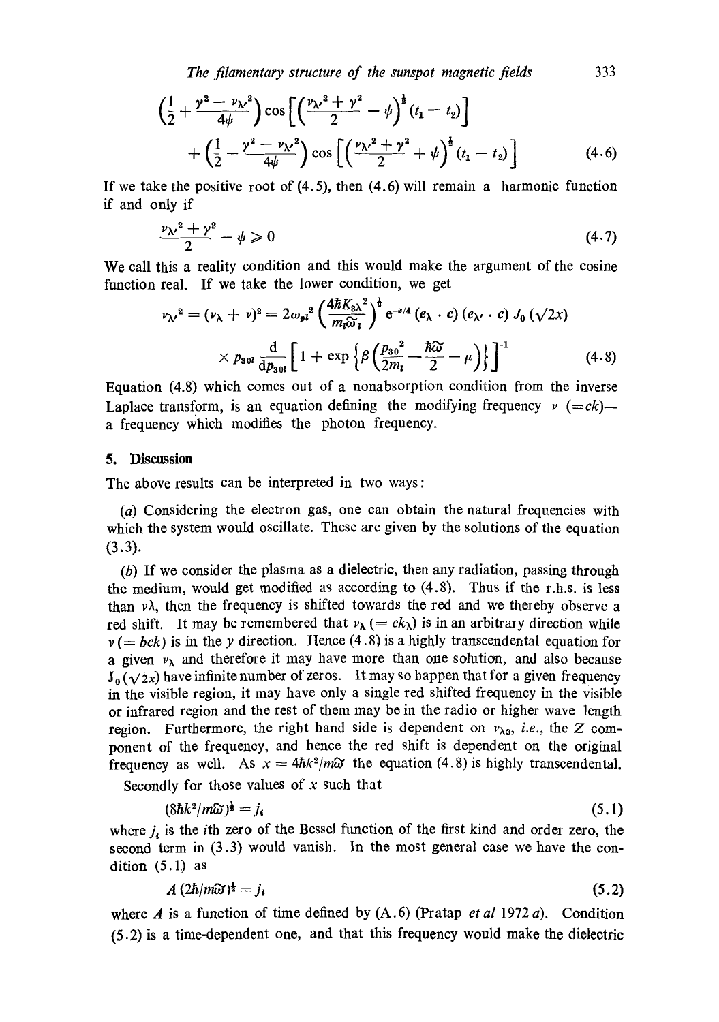*The filamentary structure of the sunspot magnetic fields* 333

$$
\left(\frac{1}{2} + \frac{\gamma^2 - \nu_{\lambda}^2}{4\psi}\right) \cos\left[\left(\frac{\nu_{\lambda}^2 + \gamma^2}{2} - \psi\right)^{\frac{1}{2}}(t_1 - t_2)\right] + \left(\frac{1}{2} - \frac{\gamma^2 - \nu_{\lambda}^2}{4\psi}\right) \cos\left[\left(\frac{\nu_{\lambda}^2 + \gamma^2}{2} + \psi\right)^{\frac{1}{2}}(t_1 - t_2)\right]
$$
(4.6)

If we take the positive root of  $(4.5)$ , then  $(4.6)$  will remain a harmonic function if and only if

$$
\frac{\nu \chi^2 + \gamma^2}{2} - \psi \geqslant 0 \tag{4.7}
$$

We call this a reality condition and this would make the argument of the cosine function real. If we take the lower condition, we get

$$
\nu_{\lambda'}^2 = (\nu_{\lambda} + \nu)^2 = 2\omega_{pl}^2 \left(\frac{4\hbar K_{3\lambda}^2}{m_l\widetilde{\omega}_l}\right)^{\frac{1}{2}} e^{-z/4} \left(e_{\lambda} \cdot c\right) \left(e_{\lambda'} \cdot c\right) J_0 \left(\sqrt{2}x\right)
$$
  
 
$$
\times p_{30l} \frac{d}{dp_{30l}} \left[1 + \exp\left\{\beta \left(\frac{p_{30}^2}{2m_l} - \frac{\hbar \widetilde{\omega}}{2} - \mu\right)\right\}\right]^{-1} \tag{4.8}
$$

Equation (4.8) which comes out of a nonabsorption condition from the inverse Laplace transform, is an equation defining the modifying frequency  $\nu$  (=ck)a frequency which modifies the photon frequency.

### **5. Discussion**

The above results can be interpreted in two ways :

(a) Considering the electron gas, one can obtain the natural frequencies with which the system would oscillate. These are given by the solutions of the equation  $(3.3).$ 

(b) If we consider the plasma as a dielectric, then any radiation, passing through the medium, would get modified as according to  $(4.8)$ . Thus if the r.h.s. is less than  $v\lambda$ , then the frequency is shifted towards the red and we thereby observe a red shift. It may be remembered that  $v_{\lambda} (= ck_{\lambda})$  is in an arbitrary direction while  $v (= bck)$  is in the y direction. Hence (4.8) is a highly transcendental equation for a given  $v_{\lambda}$  and therefore it may have more than one solution, and also because  $J_0(\sqrt{2x})$  have infinite number of zeros. It may so happen that for a given frequency in the visible region, it may have only a single red shifted frequency in the visible or infrared region and the rest of them may be in the radio or higher wave length region. Furthermore, the right hand side is dependent on  $v_{\lambda_3}$ , *i.e.*, the Z component of the frequency, and hence the red shift is dependent on the original frequency as well. As  $x = 4\hbar k^2/m\omega$  the equation (4.8) is highly transcendental.

Secondly for those values of  $x$  such that

$$
(8\hbar k^2/m\widehat{\omega})^{\frac{1}{2}}=j_{\mathfrak{s}}\tag{5.1}
$$

where  $j_i$  is the *i*th zero of the Bessel function of the first kind and order zero, the second term in (3.3) would vanish. In the most general case we have the condition (5.1) as

$$
A\left(2\hbar/m\tilde{\omega}\right)^{\frac{1}{2}}=j_{i}\tag{5.2}
$$

where A is a function of time defined by  $(A.6)$  (Pratap *et al* 1972 a). Condition (5.2) is a time-dependent one, and that this frequency would make the dielectric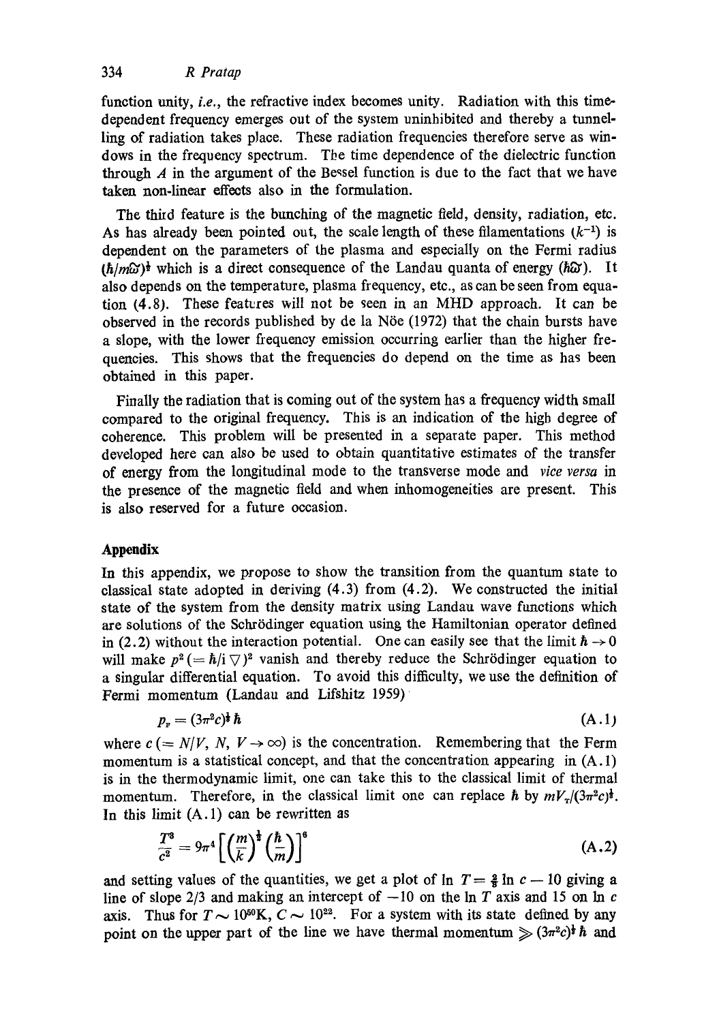function unity, *i.e.*, the refractive index becomes unity. Radiation with this timedependent frequency emerges out of the system uninhibited and thereby a tunnelling of radiation takes place. These radiation frequencies therefore serve as windows in the frequency spectrum. The time dependence of the dielectric function through  $A$  in the argument of the Bessel function is due to the fact that we have taken non-linear effects also in the formulation.

The third feature is the bunching of the magnetic field, density, radiation, etc. As has already been pointed out, the scale length of these filamentations  $(k^{-1})$  is dependent on the parameters of the plasma and especially on the Fermi radius  $(h/m\omega)^{\frac{1}{2}}$  which is a direct consequence of the Landau quanta of energy ( $h\omega$ ). It also depends on the temperature, plasma frequency, etc., as can be seen from equation (4.8). These features will not be seen in an MHD approach. It can be observed in the records published by de la Nöe  $(1972)$  that the chain bursts have a slope, with the lower frequency emission occurring earlier than the higher frequencies. This shows that the frequencies do depend on the time as has been obtained in this paper.

Finally the radiation that is coming out of the system has a frequency width small compared to the original frequency. This is an indication of the high degree of coherence. This problem will be presented in a separate paper. This method developed here can also be used to obtain quantitative estimates of the transfer of energy from the longitudinal mode to the transverse mode and *vice versa* in the presence of the magnetic field and when inhomogeneities are present. This is also reserved for a future occasion.

# **Appendix**

In this appendix, we propose to show the transition from the quantum state to classical state adopted in deriving  $(4.3)$  from  $(4.2)$ . We constructed the initial state of the system from the density matrix using Landau wave functions which are solutions of the Schrödinger equation using the Hamiltonian operator defined in (2.2) without the interaction potential. One can easily see that the limit  $\hbar \rightarrow 0$ will make  $p^2 (= \hbar/i \nabla)^2$  vanish and thereby reduce the Schrödinger equation to a singular differential equation. To avoid this difficulty, we use the definition of Fermi momentum (Landau and Lifshitz 1959)

$$
p_{\scriptscriptstyle \rm F} = (3\pi^2 c)^{\frac{1}{2}} \hbar \tag{A.1}
$$

where  $c (= N/V, N, V \rightarrow \infty)$  is the concentration. Remembering that the Ferm momentum is a statistical concept, and that the concentration appearing in  $(A.1)$ is in the thermodynamic limit, one can take this to the classical limit of thermal momentum. Therefore, in the classical limit one can replace h by  $mV_r/(3\pi^2c)^{\frac{1}{2}}$ . In this limit  $(A.1)$  can be rewritten as

$$
\frac{T^3}{c^2} = 9\pi^4 \left[ \left( \frac{m}{k} \right)^{\frac{1}{2}} \left( \frac{\hbar}{m} \right) \right]^6 \tag{A.2}
$$

and setting values of the quantities, we get a plot of  $\ln T = \frac{2}{3} \ln c - 10$  giving a line of slope 2/3 and making an intercept of  $-10$  on the ln T axis and 15 on ln c axis. Thus for  $T \sim 10^{50}$ K,  $C \sim 10^{22}$ . For a system with its state defined by any point on the upper part of the line we have thermal momentum  $\gg (3\pi^2c)^{\frac{1}{2}}\hbar$  and